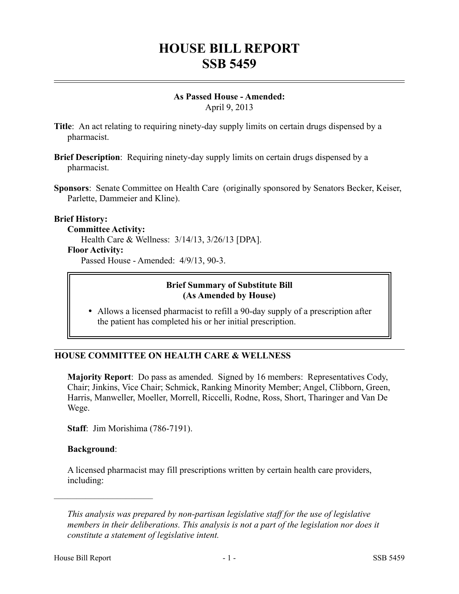# **HOUSE BILL REPORT SSB 5459**

#### **As Passed House - Amended:** April 9, 2013

- **Title**: An act relating to requiring ninety-day supply limits on certain drugs dispensed by a pharmacist.
- **Brief Description**: Requiring ninety-day supply limits on certain drugs dispensed by a pharmacist.
- **Sponsors**: Senate Committee on Health Care (originally sponsored by Senators Becker, Keiser, Parlette, Dammeier and Kline).

#### **Brief History:**

#### **Committee Activity:**

Health Care & Wellness: 3/14/13, 3/26/13 [DPA].

#### **Floor Activity:**

Passed House - Amended: 4/9/13, 90-3.

#### **Brief Summary of Substitute Bill (As Amended by House)**

 Allows a licensed pharmacist to refill a 90-day supply of a prescription after the patient has completed his or her initial prescription.

## **HOUSE COMMITTEE ON HEALTH CARE & WELLNESS**

**Majority Report**: Do pass as amended. Signed by 16 members: Representatives Cody, Chair; Jinkins, Vice Chair; Schmick, Ranking Minority Member; Angel, Clibborn, Green, Harris, Manweller, Moeller, Morrell, Riccelli, Rodne, Ross, Short, Tharinger and Van De Wege.

**Staff**: Jim Morishima (786-7191).

## **Background**:

––––––––––––––––––––––

A licensed pharmacist may fill prescriptions written by certain health care providers, including:

*This analysis was prepared by non-partisan legislative staff for the use of legislative members in their deliberations. This analysis is not a part of the legislation nor does it constitute a statement of legislative intent.*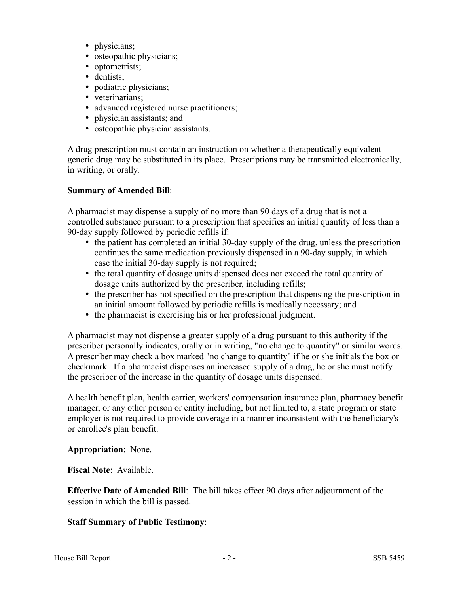- physicians;
- osteopathic physicians;
- optometrists;
- dentists;
- podiatric physicians;
- veterinarians;
- advanced registered nurse practitioners;
- physician assistants; and
- osteopathic physician assistants.

A drug prescription must contain an instruction on whether a therapeutically equivalent generic drug may be substituted in its place. Prescriptions may be transmitted electronically, in writing, or orally.

## **Summary of Amended Bill**:

A pharmacist may dispense a supply of no more than 90 days of a drug that is not a controlled substance pursuant to a prescription that specifies an initial quantity of less than a 90-day supply followed by periodic refills if:

- the patient has completed an initial 30-day supply of the drug, unless the prescription continues the same medication previously dispensed in a 90-day supply, in which case the initial 30-day supply is not required;
- the total quantity of dosage units dispensed does not exceed the total quantity of dosage units authorized by the prescriber, including refills;
- the prescriber has not specified on the prescription that dispensing the prescription in an initial amount followed by periodic refills is medically necessary; and
- the pharmacist is exercising his or her professional judgment.

A pharmacist may not dispense a greater supply of a drug pursuant to this authority if the prescriber personally indicates, orally or in writing, "no change to quantity" or similar words. A prescriber may check a box marked "no change to quantity" if he or she initials the box or checkmark. If a pharmacist dispenses an increased supply of a drug, he or she must notify the prescriber of the increase in the quantity of dosage units dispensed.

A health benefit plan, health carrier, workers' compensation insurance plan, pharmacy benefit manager, or any other person or entity including, but not limited to, a state program or state employer is not required to provide coverage in a manner inconsistent with the beneficiary's or enrollee's plan benefit.

## **Appropriation**: None.

**Fiscal Note**: Available.

**Effective Date of Amended Bill**: The bill takes effect 90 days after adjournment of the session in which the bill is passed.

## **Staff Summary of Public Testimony**: